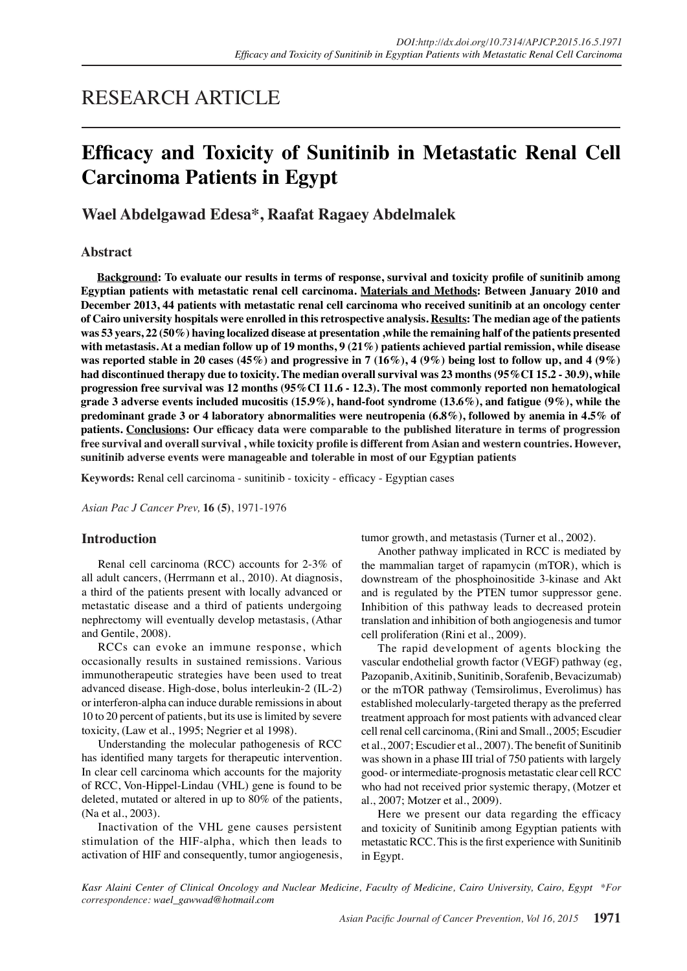## RESEARCH ARTICLE

# **Efficacy and Toxicity of Sunitinib in Metastatic Renal Cell Carcinoma Patients in Egypt**

**Wael Abdelgawad Edesa\*, Raafat Ragaey Abdelmalek**

#### **Abstract**

**Background: To evaluate our results in terms of response, survival and toxicity profile of sunitinib among Egyptian patients with metastatic renal cell carcinoma. Materials and Methods: Between January 2010 and December 2013, 44 patients with metastatic renal cell carcinoma who received sunitinib at an oncology center of Cairo university hospitals were enrolled in this retrospective analysis. Results: The median age of the patients was 53 years, 22 (50%) having localized disease at presentation ,while the remaining half of the patients presented with metastasis. At a median follow up of 19 months, 9 (21%) patients achieved partial remission, while disease was reported stable in 20 cases (45%) and progressive in 7 (16%), 4 (9%) being lost to follow up, and 4 (9%) had discontinued therapy due to toxicity. The median overall survival was 23 months (95%CI 15.2 - 30.9), while progression free survival was 12 months (95%CI 11.6 - 12.3). The most commonly reported non hematological grade 3 adverse events included mucositis (15.9%), hand-foot syndrome (13.6%), and fatigue (9%), while the predominant grade 3 or 4 laboratory abnormalities were neutropenia (6.8%), followed by anemia in 4.5% of patients. Conclusions: Our efficacy data were comparable to the published literature in terms of progression free survival and overall survival , while toxicity profile is different from Asian and western countries. However, sunitinib adverse events were manageable and tolerable in most of our Egyptian patients**

**Keywords:** Renal cell carcinoma - sunitinib - toxicity - efficacy - Egyptian cases

*Asian Pac J Cancer Prev,* **16 (5)**, 1971-1976

#### **Introduction**

Renal cell carcinoma (RCC) accounts for 2-3% of all adult cancers, (Herrmann et al., 2010). At diagnosis, a third of the patients present with locally advanced or metastatic disease and a third of patients undergoing nephrectomy will eventually develop metastasis, (Athar and Gentile, 2008).

RCCs can evoke an immune response, which occasionally results in sustained remissions. Various immunotherapeutic strategies have been used to treat advanced disease. High-dose, bolus interleukin-2 (IL-2) or interferon-alpha can induce durable remissions in about 10 to 20 percent of patients, but its use is limited by severe toxicity, (Law et al., 1995; Negrier et al 1998).

Understanding the molecular pathogenesis of RCC has identified many targets for therapeutic intervention. In clear cell carcinoma which accounts for the majority of RCC, Von-Hippel-Lindau (VHL) gene is found to be deleted, mutated or altered in up to 80% of the patients, (Na et al., 2003).

Inactivation of the VHL gene causes persistent stimulation of the HIF-alpha, which then leads to activation of HIF and consequently, tumor angiogenesis, tumor growth, and metastasis (Turner et al., 2002).

Another pathway implicated in RCC is mediated by the mammalian target of rapamycin (mTOR), which is downstream of the phosphoinositide 3-kinase and Akt and is regulated by the PTEN tumor suppressor gene. Inhibition of this pathway leads to decreased protein translation and inhibition of both angiogenesis and tumor cell proliferation (Rini et al., 2009).

The rapid development of agents blocking the vascular endothelial growth factor (VEGF) pathway (eg, Pazopanib, Axitinib, Sunitinib, Sorafenib, Bevacizumab) or the mTOR pathway (Temsirolimus, Everolimus) has established molecularly-targeted therapy as the preferred treatment approach for most patients with advanced clear cell renal cell carcinoma, (Rini and Small., 2005; Escudier et al., 2007; Escudier et al., 2007). The benefit of Sunitinib was shown in a phase III trial of 750 patients with largely good- or intermediate-prognosis metastatic clear cell RCC who had not received prior systemic therapy, (Motzer et al., 2007; Motzer et al., 2009).

Here we present our data regarding the efficacy and toxicity of Sunitinib among Egyptian patients with metastatic RCC. This is the first experience with Sunitinib in Egypt.

*Kasr Alaini Center of Clinical Oncology and Nuclear Medicine, Faculty of Medicine, Cairo University, Cairo, Egypt \*For correspondence: wael\_gawwad@hotmail.com*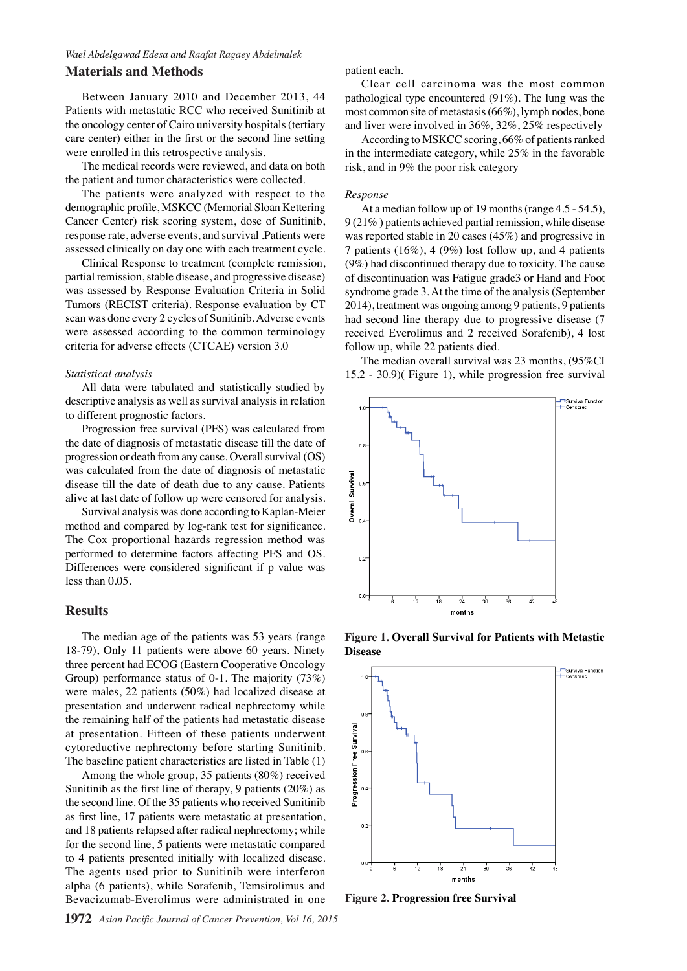#### *Wael Abdelgawad Edesa and Raafat Ragaey Abdelmalek*

#### **Materials and Methods**

Between January 2010 and December 2013, 44 Patients with metastatic RCC who received Sunitinib at the oncology center of Cairo university hospitals (tertiary care center) either in the first or the second line setting were enrolled in this retrospective analysis.

The medical records were reviewed, and data on both the patient and tumor characteristics were collected.

The patients were analyzed with respect to the demographic profile, MSKCC (Memorial Sloan Kettering Cancer Center) risk scoring system, dose of Sunitinib, response rate, adverse events, and survival .Patients were assessed clinically on day one with each treatment cycle.

Clinical Response to treatment (complete remission, partial remission, stable disease, and progressive disease) was assessed by Response Evaluation Criteria in Solid Tumors (RECIST criteria). Response evaluation by CT scan was done every 2 cycles of Sunitinib. Adverse events were assessed according to the common terminology criteria for adverse effects (CTCAE) version 3.0

#### *Statistical analysis*

All data were tabulated and statistically studied by descriptive analysis as well as survival analysis in relation to different prognostic factors.

Progression free survival (PFS) was calculated from the date of diagnosis of metastatic disease till the date of progression or death from any cause. Overall survival (OS) was calculated from the date of diagnosis of metastatic disease till the date of death due to any cause. Patients alive at last date of follow up were censored for analysis.

Survival analysis was done according to Kaplan-Meier method and compared by log-rank test for significance. The Cox proportional hazards regression method was performed to determine factors affecting PFS and OS. Differences were considered significant if p value was less than 0.05.

#### **Results**

The median age of the patients was 53 years (range 18-79), Only 11 patients were above 60 years. Ninety three percent had ECOG (Eastern Cooperative Oncology Group) performance status of 0-1. The majority (73%) were males, 22 patients (50%) had localized disease at presentation and underwent radical nephrectomy while the remaining half of the patients had metastatic disease at presentation. Fifteen of these patients underwent cytoreductive nephrectomy before starting Sunitinib. The baseline patient characteristics are listed in Table (1)

Among the whole group, 35 patients (80%) received Sunitinib as the first line of therapy, 9 patients (20%) as the second line. Of the 35 patients who received Sunitinib as first line, 17 patients were metastatic at presentation, and 18 patients relapsed after radical nephrectomy; while for the second line, 5 patients were metastatic compared to 4 patients presented initially with localized disease. The agents used prior to Sunitinib were interferon alpha (6 patients), while Sorafenib, Temsirolimus and Bevacizumab-Everolimus were administrated in one

patient each.

Clear cell carcinoma was the most common pathological type encountered (91%). The lung was the most common site of metastasis (66%), lymph nodes, bone and liver were involved in 36%, 32%, 25% respectively

According to MSKCC scoring, 66% of patients ranked in the intermediate category, while 25% in the favorable risk, and in 9% the poor risk category

#### *Response*

At a median follow up of 19 months (range 4.5 - 54.5), 9 (21% ) patients achieved partial remission, while disease was reported stable in 20 cases (45%) and progressive in 7 patients (16%), 4 (9%) lost follow up, and 4 patients (9%) had discontinued therapy due to toxicity. The cause of discontinuation was Fatigue grade3 or Hand and Foot syndrome grade 3. At the time of the analysis (September 2014), treatment was ongoing among 9 patients, 9 patients had second line therapy due to progressive disease (7 received Everolimus and 2 received Sorafenib), 4 lost follow up, while 22 patients died.

The median overall survival was  $23$  months,  $(95\%CI$ 15.2 - 30.9)( Figure 1), while progression free survival



**Disease**



**Figure 2. Progression free Survival**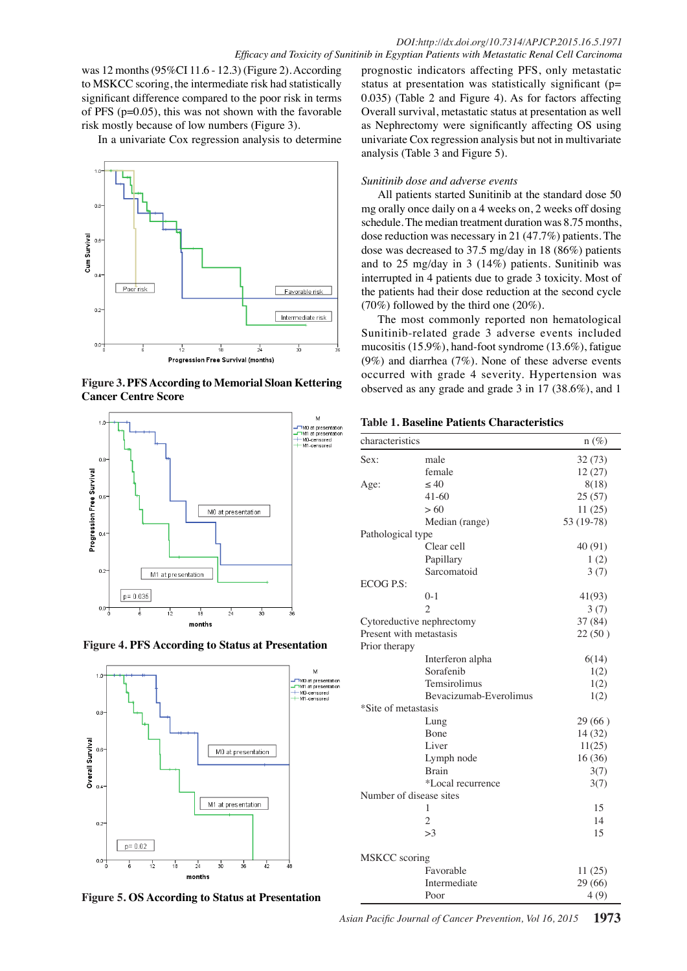was 12 months (95%CI 11.6 - 12.3) (Figure 2). According to MSKCC scoring, the intermediate risk had statistically significant difference compared to the poor risk in terms of PFS  $(p=0.05)$ , this was not shown with the favorable Overa risk mostly because of low numbers (Figure 3).

In a univariate Cox regression analysis to determine **I**n a univariate Cox regression analysis to determine



**Figure 3. PFS According to Memorial Sloan Kettering** occurred **Cancer Centre Score**







**Figure 5. OS According to Status at Presentation**

prognostic indicators affecting PFS, only metastatic status at presentation was statistically significant (p= 0.035) (Table 2 and Figure 4). As for factors affecting Overall survival, metastatic status at presentation as well as Nephrectomy were significantly affecting OS using univariate Cox regression analysis but not in multivariate analysis (Table 3 and Figure 5).

#### *Sunitinib dose and adverse events*

All patients started Sunitinib at the standard dose 50 mg orally once daily on a 4 weeks on, 2 weeks off dosing schedule. The median treatment duration was 8.75 months, dose reduction was necessary in 21 (47.7%) patients. The dose was decreased to 37.5 mg/day in 18 (86%) patients and to 25 mg/day in 3 (14%) patients. Sunitinib was interrupted in 4 patients due to grade 3 toxicity. Most of the patients had their dose reduction at the second cycle (70%) followed by the third one (20%).

The most commonly reported non hematological Sunitinib-related grade 3 adverse events included mucositis (15.9%), hand-foot syndrome (13.6%), fatigue (9%) and diarrhea (7%). None of these adverse events occurred with grade 4 severity. Hypertension was observed as any grade and grade 3 in 17 (38.6%), and 1

|  | <b>Table 1. Baseline Patients Characteristics</b> |  |  |  |
|--|---------------------------------------------------|--|--|--|
|--|---------------------------------------------------|--|--|--|

| characteristics         |                           | $n(\%)$    |
|-------------------------|---------------------------|------------|
| Sex:                    | male                      | 32(73)     |
|                         | female                    | 12(27)     |
| Age:                    | < 40                      | 8(18)      |
|                         | $41-60$                   | 25(57)     |
|                         | >60                       | 11(25)     |
|                         | Median (range)            | 53 (19-78) |
| Pathological type       |                           |            |
|                         | Clear cell                | 40 (91)    |
|                         | Papillary                 | 1(2)       |
|                         | Sarcomatoid               | 3(7)       |
| ECOG P.S:               |                           |            |
|                         | $0-1$                     | 41(93)     |
|                         | $\mathfrak{D}$            | 3(7)       |
|                         | Cytoreductive nephrectomy | 37 (84)    |
| Present with metastasis |                           | 22(50)     |
| Prior therapy           |                           |            |
|                         | Interferon alpha          | 6(14)      |
|                         | Sorafenib                 | 1(2)       |
|                         | Temsirolimus              | 1(2)       |
|                         | Bevacizumab-Everolimus    | 1(2)       |
| *Site of metastasis     |                           |            |
|                         | Lung                      | 29 (66)    |
|                         | Bone                      | 14 (32)    |
|                         | Liver                     | 11(25)     |
|                         | Lymph node                | 16 (36)    |
|                         | <b>Brain</b>              | 3(7)       |
|                         | *Local recurrence         | 3(7)       |
|                         | Number of disease sites   |            |
|                         | 1                         | 15         |
|                         | $\overline{c}$            | 14         |
|                         | >3                        | 15         |
| MSKCC scoring           |                           |            |
|                         | Favorable                 | 11(25)     |
|                         | Intermediate              | 29 (66)    |
|                         | Poor                      | 4(9)       |

*Asian Pacific Journal of Cancer Prevention, Vol 16, 2015* **1973**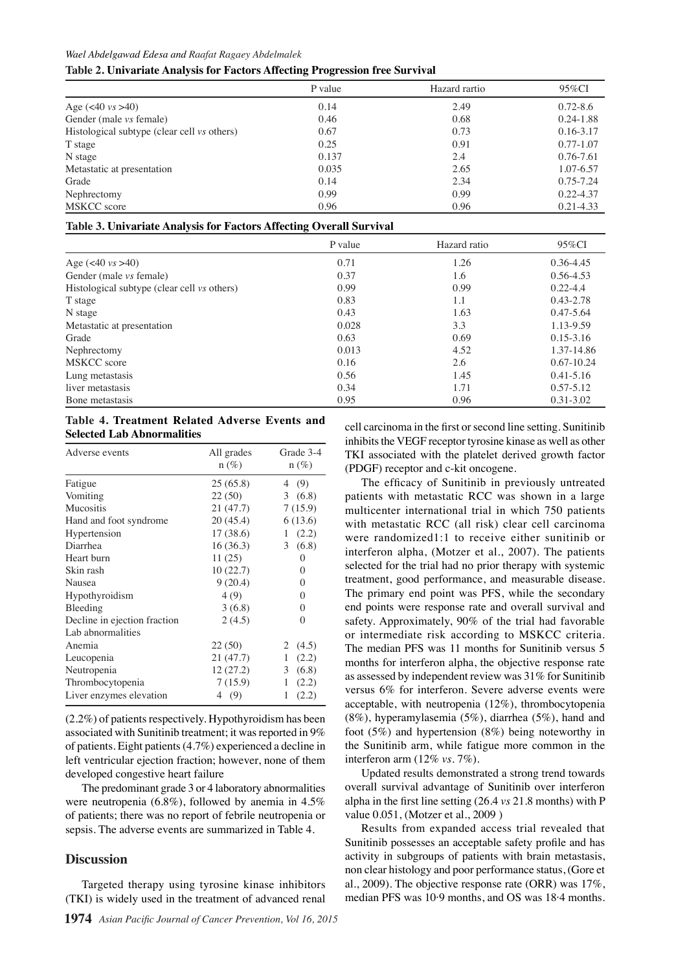#### *Wael Abdelgawad Edesa and Raafat Ragaey Abdelmalek*

#### **Table 2. Univariate Analysis for Factors Affecting Progression free Survival**

|                                             | P value | Hazard rartio | 95%CI         |
|---------------------------------------------|---------|---------------|---------------|
| Age $(<40 \text{ vs } >40)$                 | 0.14    | 2.49          | $0.72 - 8.6$  |
| Gender (male vs female)                     | 0.46    | 0.68          | $0.24 - 1.88$ |
| Histological subtype (clear cell vs others) | 0.67    | 0.73          | $0.16 - 3.17$ |
| T stage                                     | 0.25    | 0.91          | $0.77 - 1.07$ |
| N stage                                     | 0.137   | 2.4           | 0.76-7.61     |
| Metastatic at presentation                  | 0.035   | 2.65          | 1.07-6.57     |
| Grade                                       | 0.14    | 2.34          | $0.75 - 7.24$ |
| Nephrectomy                                 | 0.99    | 0.99          | $0.22 - 4.37$ |
| MSKCC score                                 | 0.96    | 0.96          | $0.21 - 4.33$ |

#### **Table 3. Univariate Analysis for Factors Affecting Overall Survival**

|                                             | P value | Hazard ratio | 95%CI          |
|---------------------------------------------|---------|--------------|----------------|
| Age $(40 \text{ vs } > 40)$                 | 0.71    | 1.26         | 0.36-4.45      |
| Gender (male <i>vs</i> female)              | 0.37    | 1.6          | $0.56 - 4.53$  |
| Histological subtype (clear cell vs others) | 0.99    | 0.99         | $0.22 - 4.4$   |
| T stage                                     | 0.83    | 1.1          | 0.43-2.78      |
| N stage                                     | 0.43    | 1.63         | $0.47 - 5.64$  |
| Metastatic at presentation                  | 0.028   | 3.3          | 1.13-9.59      |
| Grade                                       | 0.63    | 0.69         | $0.15 - 3.16$  |
| Nephrectomy                                 | 0.013   | 4.52         | 1.37-14.86     |
| MSKCC score                                 | 0.16    | 2.6          | $0.67 - 10.24$ |
| Lung metastasis                             | 0.56    | 1.45         | $0.41 - 5.16$  |
| liver metastasis                            | 0.34    | 1.71         | $0.57 - 5.12$  |
| Bone metastasis                             | 0.95    | 0.96         | $0.31 - 3.02$  |

#### **Table 4. Treatment Related Adverse Events and Selected Lab Abnormalities**

| Adverse events               | All grades<br>$n (\%)$ | Grade 3-4<br>$n(\%)$ |
|------------------------------|------------------------|----------------------|
| Fatigue                      | 25(65.8)               | 4(9)                 |
| Vomiting                     | 22 (50)                | 3(6.8)               |
| Mucositis                    | 21 (47.7)              | 7(15.9)              |
| Hand and foot syndrome       | 20(45.4)               | 6(13.6)              |
| Hypertension                 | 17(38.6)               | (2.2)<br>1           |
| Diarrhea                     | 16(36.3)               | 3(6.8)               |
| Heart burn                   | 11(25)                 | 0                    |
| Skin rash                    | 10(22.7)               | 0                    |
| Nausea                       | 9(20.4)                | 0                    |
| Hypothyroidism               | 4(9)                   | 0                    |
| Bleeding                     | 3(6.8)                 | 0                    |
| Decline in ejection fraction | 2(4.5)                 | 0                    |
| Lab abnormalities            |                        |                      |
| Anemia                       | 22 (50)                | (4.5)<br>2           |
| Leucopenia                   | 21 (47.7)              | 1<br>(2.2)           |
| Neutropenia                  | 12(27.2)               | (6.8)<br>3           |
| Thrombocytopenia             | 7(15.9)                | (2.2)<br>1           |
| Liver enzymes elevation      | 4 (9)                  | (2.2)<br>1           |

(2.2%) of patients respectively. Hypothyroidism has been associated with Sunitinib treatment; it was reported in 9% of patients. Eight patients (4.7%) experienced a decline in left ventricular ejection fraction; however, none of them developed congestive heart failure

The predominant grade 3 or 4 laboratory abnormalities were neutropenia (6.8%), followed by anemia in 4.5% of patients; there was no report of febrile neutropenia or sepsis. The adverse events are summarized in Table 4.

#### **Discussion**

Targeted therapy using tyrosine kinase inhibitors (TKI) is widely used in the treatment of advanced renal

cell carcinoma in the first or second line setting. Sunitinib inhibits the VEGF receptor tyrosine kinase as well as other TKI associated with the platelet derived growth factor (PDGF) receptor and c-kit oncogene.

The efficacy of Sunitinib in previously untreated patients with metastatic RCC was shown in a large multicenter international trial in which 750 patients with metastatic RCC (all risk) clear cell carcinoma were randomized1:1 to receive either sunitinib or interferon alpha, (Motzer et al., 2007). The patients selected for the trial had no prior therapy with systemic treatment, good performance, and measurable disease. The primary end point was PFS, while the secondary end points were response rate and overall survival and safety. Approximately, 90% of the trial had favorable or intermediate risk according to MSKCC criteria. The median PFS was 11 months for Sunitinib versus 5 months for interferon alpha, the objective response rate as assessed by independent review was 31% for Sunitinib versus 6% for interferon. Severe adverse events were acceptable, with neutropenia (12%), thrombocytopenia (8%), hyperamylasemia (5%), diarrhea (5%), hand and foot (5%) and hypertension (8%) being noteworthy in the Sunitinib arm, while fatigue more common in the interferon arm (12% *vs.* 7%).

Updated results demonstrated a strong trend towards overall survival advantage of Sunitinib over interferon alpha in the first line setting (26.4 *vs* 21.8 months) with P value 0.051, (Motzer et al., 2009 )

Results from expanded access trial revealed that Sunitinib possesses an acceptable safety profile and has activity in subgroups of patients with brain metastasis, non clear histology and poor performance status, (Gore et al., 2009). The objective response rate (ORR) was 17%, median PFS was 10·9 months, and OS was 18·4 months.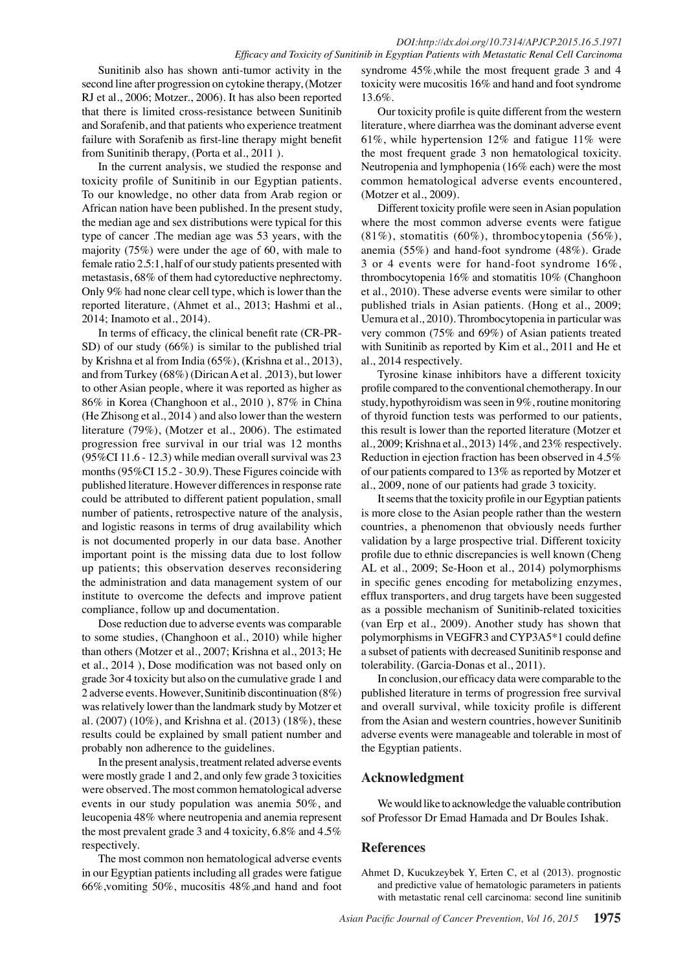Sunitinib also has shown anti-tumor activity in the second line after progression on cytokine therapy, (Motzer RJ et al., 2006; Motzer., 2006). It has also been reported that there is limited cross-resistance between Sunitinib and Sorafenib, and that patients who experience treatment failure with Sorafenib as first-line therapy might benefit from Sunitinib therapy, (Porta et al., 2011 ).

In the current analysis, we studied the response and toxicity profile of Sunitinib in our Egyptian patients. To our knowledge, no other data from Arab region or African nation have been published. In the present study, the median age and sex distributions were typical for this type of cancer .The median age was 53 years, with the majority (75%) were under the age of 60, with male to female ratio 2.5:1, half of our study patients presented with metastasis, 68% of them had cytoreductive nephrectomy. Only 9% had none clear cell type, which is lower than the reported literature, (Ahmet et al., 2013; Hashmi et al., 2014; Inamoto et al., 2014).

In terms of efficacy, the clinical benefit rate (CR-PR-SD) of our study (66%) is similar to the published trial by Krishna et al from India (65%), (Krishna et al., 2013), and from Turkey (68%) (Dirican A et al. ,2013), but lower to other Asian people, where it was reported as higher as 86% in Korea (Changhoon et al., 2010 ), 87% in China (He Zhisong et al., 2014 ) and also lower than the western literature (79%), (Motzer et al., 2006). The estimated progression free survival in our trial was 12 months (95%CI 11.6 - 12.3) while median overall survival was 23 months (95%CI 15.2 - 30.9). These Figures coincide with published literature. However differences in response rate could be attributed to different patient population, small number of patients, retrospective nature of the analysis, and logistic reasons in terms of drug availability which is not documented properly in our data base. Another important point is the missing data due to lost follow up patients; this observation deserves reconsidering the administration and data management system of our institute to overcome the defects and improve patient compliance, follow up and documentation.

Dose reduction due to adverse events was comparable to some studies, (Changhoon et al., 2010) while higher than others (Motzer et al., 2007; Krishna et al., 2013; He et al., 2014 ), Dose modification was not based only on grade 3or 4 toxicity but also on the cumulative grade 1 and 2 adverse events. However, Sunitinib discontinuation (8%) was relatively lower than the landmark study by Motzer et al. (2007) (10%), and Krishna et al. (2013) (18%), these results could be explained by small patient number and probably non adherence to the guidelines.

In the present analysis, treatment related adverse events were mostly grade 1 and 2, and only few grade 3 toxicities were observed. The most common hematological adverse events in our study population was anemia 50%, and leucopenia 48% where neutropenia and anemia represent the most prevalent grade 3 and 4 toxicity, 6.8% and 4.5% respectively.

The most common non hematological adverse events in our Egyptian patients including all grades were fatigue 66%,vomiting 50%, mucositis 48%,and hand and foot

syndrome 45%,while the most frequent grade 3 and 4 toxicity were mucositis 16% and hand and foot syndrome 13.6%.

Our toxicity profile is quite different from the western literature, where diarrhea was the dominant adverse event 61%, while hypertension 12% and fatigue 11% were the most frequent grade 3 non hematological toxicity. Neutropenia and lymphopenia (16% each) were the most common hematological adverse events encountered, (Motzer et al., 2009).

Different toxicity profile were seen in Asian population where the most common adverse events were fatigue (81%), stomatitis (60%), thrombocytopenia (56%), anemia (55%) and hand-foot syndrome (48%). Grade 3 or 4 events were for hand-foot syndrome 16%, thrombocytopenia 16% and stomatitis 10% (Changhoon et al., 2010). These adverse events were similar to other published trials in Asian patients. (Hong et al., 2009; Uemura et al., 2010). Thrombocytopenia in particular was very common (75% and 69%) of Asian patients treated with Sunitinib as reported by Kim et al., 2011 and He et al., 2014 respectively.

Tyrosine kinase inhibitors have a different toxicity profile compared to the conventional chemotherapy. In our study, hypothyroidism was seen in 9%, routine monitoring of thyroid function tests was performed to our patients, this result is lower than the reported literature (Motzer et al., 2009; Krishna et al., 2013) 14%, and 23% respectively. Reduction in ejection fraction has been observed in 4.5% of our patients compared to 13% as reported by Motzer et al., 2009, none of our patients had grade 3 toxicity.

It seems that the toxicity profile in our Egyptian patients is more close to the Asian people rather than the western countries, a phenomenon that obviously needs further validation by a large prospective trial. Different toxicity profile due to ethnic discrepancies is well known (Cheng AL et al., 2009; Se-Hoon et al., 2014) polymorphisms in specific genes encoding for metabolizing enzymes, efflux transporters, and drug targets have been suggested as a possible mechanism of Sunitinib-related toxicities (van Erp et al., 2009). Another study has shown that polymorphisms in VEGFR3 and CYP3A5\*1 could define a subset of patients with decreased Sunitinib response and tolerability. (Garcia-Donas et al., 2011).

In conclusion, our efficacy data were comparable to the published literature in terms of progression free survival and overall survival, while toxicity profile is different from the Asian and western countries, however Sunitinib adverse events were manageable and tolerable in most of the Egyptian patients.

## **Acknowledgment**

We would like to acknowledge the valuable contribution sof Professor Dr Emad Hamada and Dr Boules Ishak.

## **References**

Ahmet D, Kucukzeybek Y, Erten C, et al (2013). prognostic and predictive value of hematologic parameters in patients with metastatic renal cell carcinoma: second line sunitinib